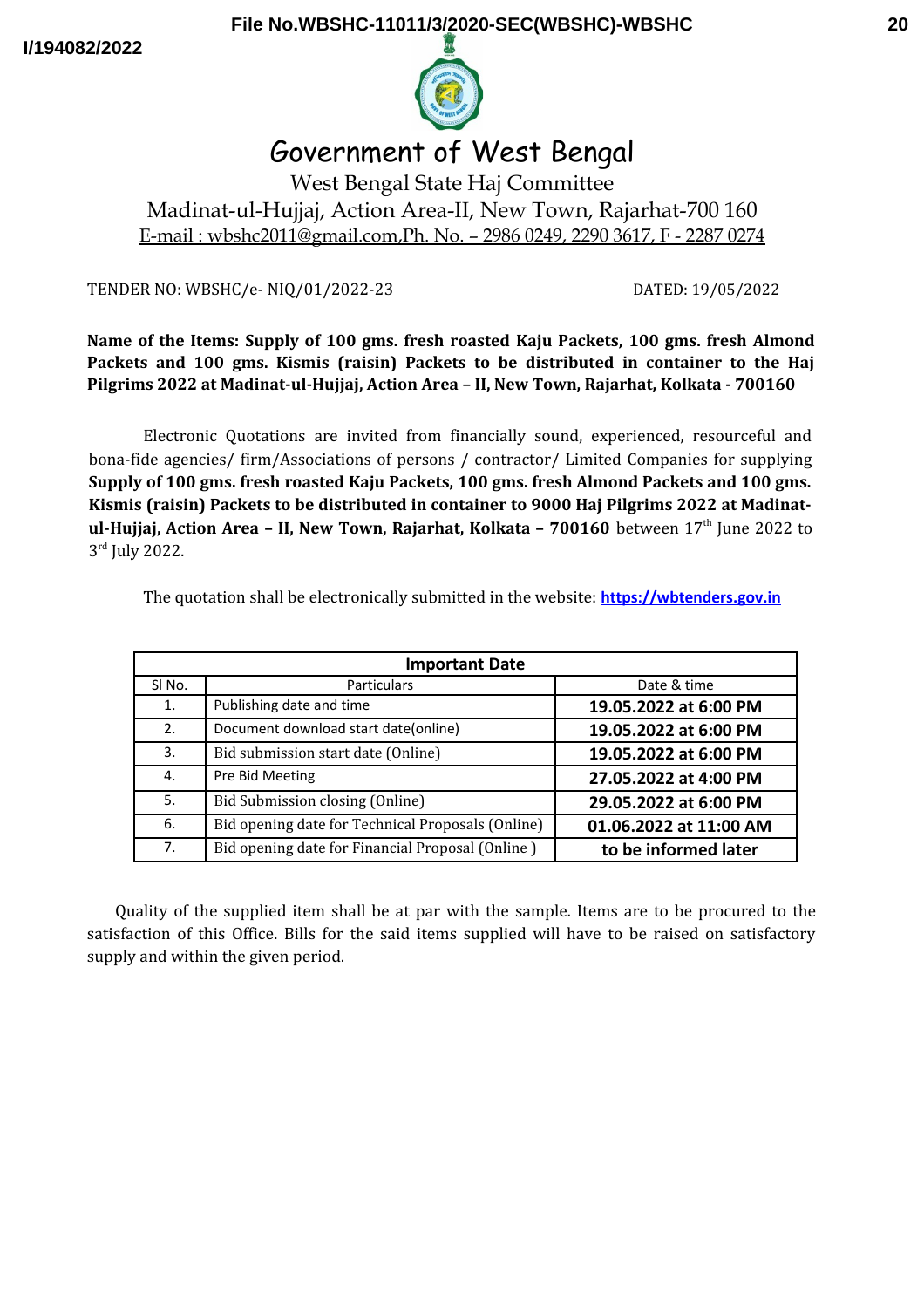**I/194082/2022**



# Government of West Bengal

West Bengal State Haj Committee Madinat-ul-Hujjaj, Action Area-II, New Town, Rajarhat-700 160 E-mail : wbshc2011@gmail.com,Ph. No. – 2986 0249, 2290 3617, F - 2287 0274

TENDER NO: WBSHC/e- NIQ/01/2022-23 DATED: 19/05/2022

**Name of the Items: Supply of 100 gms. fresh roasted Kaju Packets, 100 gms. fresh Almond Packets and 100 gms. Kismis (raisin) Packets to be distributed in container to the Haj Pilgrims 2022 at Madinat-ul-Hujjaj, Action Area – II, New Town, Rajarhat, Kolkata - 700160**

Electronic Quotations are invited from financially sound, experienced, resourceful and bona-fide agencies/ firm/Associations of persons / contractor/ Limited Companies for supplying **Supply of 100 gms. fresh roasted Kaju Packets, 100 gms. fresh Almond Packets and 100 gms. Kismis (raisin) Packets to be distributed in container to 9000 Haj Pilgrims 2022 at Madinatul-Hujjaj, Action Area - II, New Town, Rajarhat, Kolkata - 700160** between 17<sup>th</sup> June 2022 to 3rd July 2022.

| <b>Important Date</b> |                                                   |                        |  |
|-----------------------|---------------------------------------------------|------------------------|--|
| SI <sub>No.</sub>     | <b>Particulars</b>                                | Date & time            |  |
| 1.                    | Publishing date and time                          | 19.05.2022 at 6:00 PM  |  |
| 2.                    | Document download start date(online)              | 19.05.2022 at 6:00 PM  |  |
| 3.                    | Bid submission start date (Online)                | 19.05.2022 at 6:00 PM  |  |
| 4.                    | Pre Bid Meeting<br>27.05.2022 at 4:00 PM          |                        |  |
| 5.                    | Bid Submission closing (Online)                   | 29.05.2022 at 6:00 PM  |  |
| 6.                    | Bid opening date for Technical Proposals (Online) | 01.06.2022 at 11:00 AM |  |
| 7.                    | Bid opening date for Financial Proposal (Online)  | to be informed later   |  |

The quotation shall be electronically submitted in the website: **[https://wbtenders.gov.in](https://wbtenders.gov.in/)**

Quality of the supplied item shall be at par with the sample. Items are to be procured to the satisfaction of this Office. Bills for the said items supplied will have to be raised on satisfactory supply and within the given period.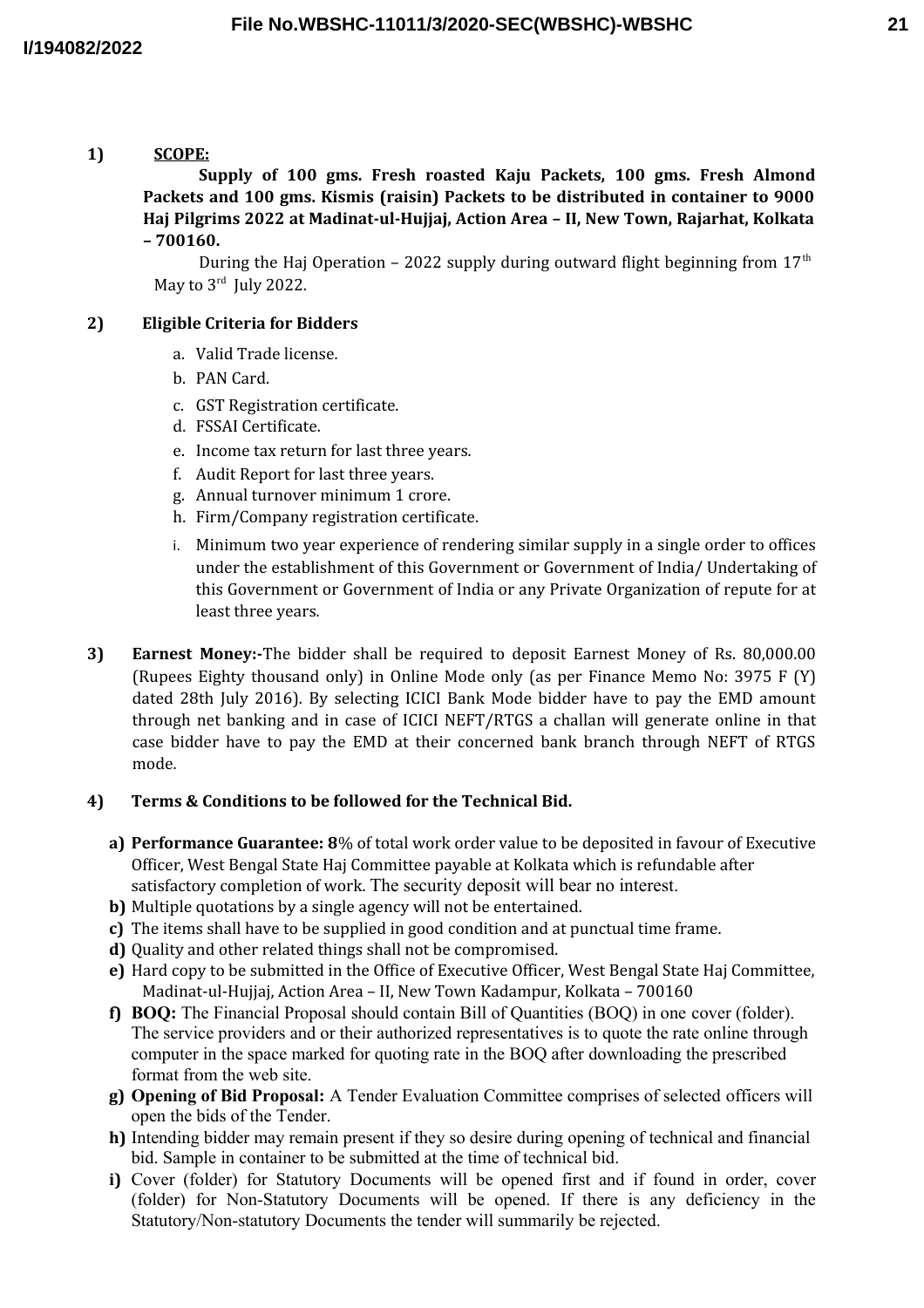**1) SCOPE: Supply of 100 gms. Fresh roasted Kaju Packets, 100 gms. Fresh Almond Packets and 100 gms. Kismis (raisin) Packets to be distributed in container to 9000 Haj Pilgrims 2022 at Madinat-ul-Hujjaj, Action Area – II, New Town, Rajarhat, Kolkata – 700160.**

During the Haj Operation – 2022 supply during outward flight beginning from  $17<sup>th</sup>$ May to  $3^{\text{rd}}$  July 2022.

# **2) Eligible Criteria for Bidders**

- a. Valid Trade license.
- b. PAN Card.
- c. GST Registration certificate.
- d. FSSAI Certificate.
- e. Income tax return for last three years.
- f. Audit Report for last three years.
- g. Annual turnover minimum 1 crore.
- h. Firm/Company registration certificate.
- i. Minimum two year experience of rendering similar supply in a single order to offices under the establishment of this Government or Government of India/ Undertaking of this Government or Government of India or any Private Organization of repute for at least three years.
- **3) Earnest Money:-**The bidder shall be required to deposit Earnest Money of Rs. 80,000.00 (Rupees Eighty thousand only) in Online Mode only (as per Finance Memo No: 3975 F (Y) dated 28th July 2016). By selecting ICICI Bank Mode bidder have to pay the EMD amount through net banking and in case of ICICI NEFT/RTGS a challan will generate online in that case bidder have to pay the EMD at their concerned bank branch through NEFT of RTGS mode.

#### **4) Terms & Conditions to be followed for the Technical Bid.**

- **a) Performance Guarantee: 8**% of total work order value to be deposited in favour of Executive Officer, West Bengal State Haj Committee payable at Kolkata which is refundable after satisfactory completion of work. The security deposit will bear no interest.
- **b)** Multiple quotations by a single agency will not be entertained.
- **c)** The items shall have to be supplied in good condition and at punctual time frame.
- **d)** Quality and other related things shall not be compromised.
- **e)** Hard copy to be submitted in the Office of Executive Officer, West Bengal State Haj Committee, Madinat-ul-Hujjaj, Action Area – II, New Town Kadampur, Kolkata – 700160
- **f) BOQ:** The Financial Proposal should contain Bill of Quantities (BOQ) in one cover (folder). The service providers and or their authorized representatives is to quote the rate online through computer in the space marked for quoting rate in the BOQ after downloading the prescribed format from the web site.
- **g) Opening of Bid Proposal:** A Tender Evaluation Committee comprises of selected officers will open the bids of the Tender.
- **h)** Intending bidder may remain present if they so desire during opening of technical and financial bid. Sample in container to be submitted at the time of technical bid.
- **i)** Cover (folder) for Statutory Documents will be opened first and if found in order, cover (folder) for Non-Statutory Documents will be opened. If there is any deficiency in the Statutory/Non-statutory Documents the tender will summarily be rejected.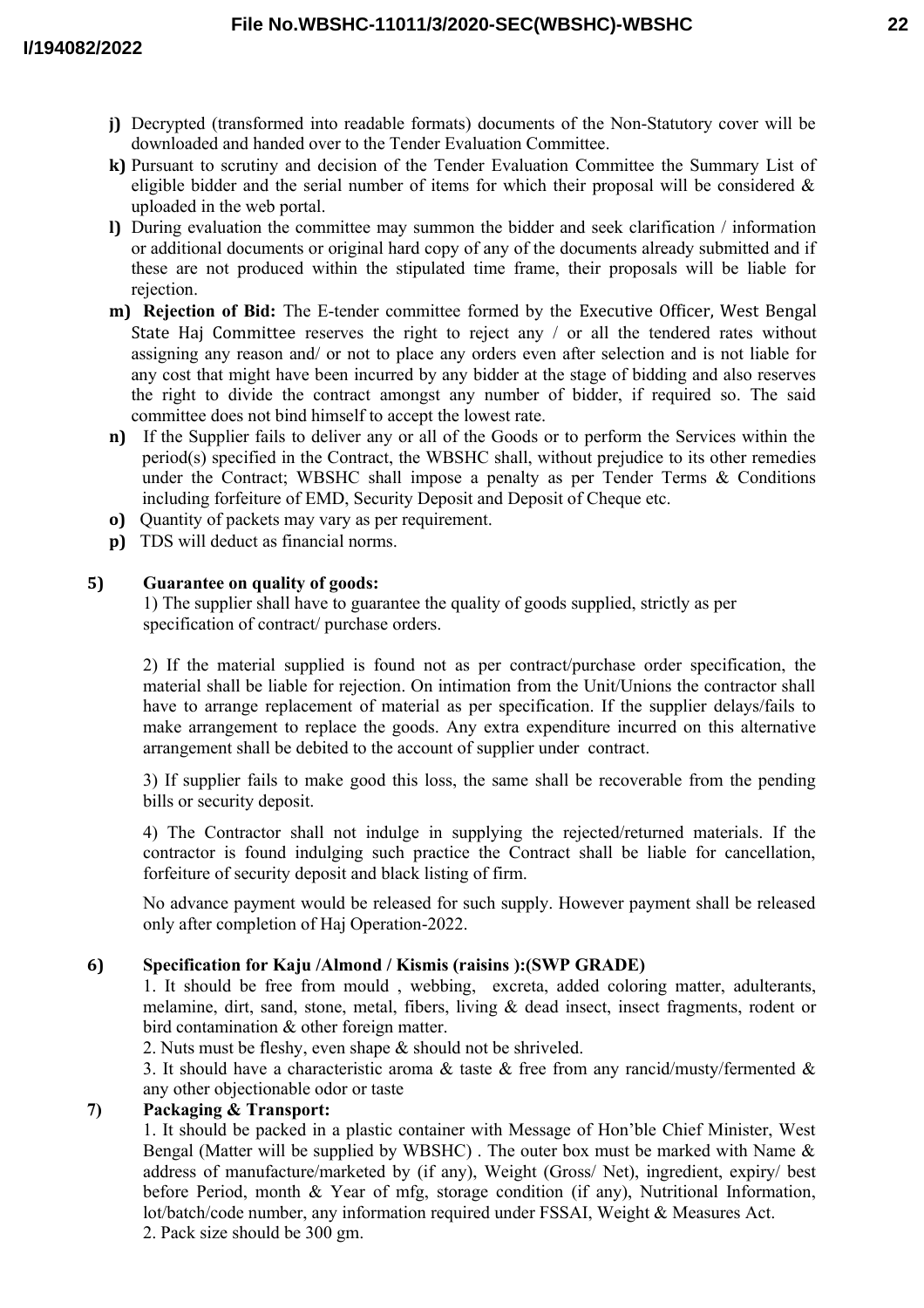- **j)** Decrypted (transformed into readable formats) documents of the Non-Statutory cover will be downloaded and handed over to the Tender Evaluation Committee.
- **k)** Pursuant to scrutiny and decision of the Tender Evaluation Committee the Summary List of eligible bidder and the serial number of items for which their proposal will be considered  $\&$ uploaded in the web portal.
- **l)** During evaluation the committee may summon the bidder and seek clarification / information or additional documents or original hard copy of any of the documents already submitted and if these are not produced within the stipulated time frame, their proposals will be liable for rejection.
- **m) Rejection of Bid:** The E-tender committee formed by the Executive Officer, West Bengal State Haj Committee reserves the right to reject any / or all the tendered rates without assigning any reason and/ or not to place any orders even after selection and is not liable for any cost that might have been incurred by any bidder at the stage of bidding and also reserves the right to divide the contract amongst any number of bidder, if required so. The said committee does not bind himself to accept the lowest rate.
- **n)** If the Supplier fails to deliver any or all of the Goods or to perform the Services within the period(s) specified in the Contract, the WBSHC shall, without prejudice to its other remedies under the Contract; WBSHC shall impose a penalty as per Tender Terms & Conditions including forfeiture of EMD, Security Deposit and Deposit of Cheque etc.
- **o)** Quantity of packets may vary as per requirement.
- **p)** TDS will deduct as financial norms.

### **5) Guarantee on quality of goods:**

1) The supplier shall have to guarantee the quality of goods supplied, strictly as per specification of contract/ purchase orders.

2) If the material supplied is found not as per contract/purchase order specification, the material shall be liable for rejection. On intimation from the Unit/Unions the contractor shall have to arrange replacement of material as per specification. If the supplier delays/fails to make arrangement to replace the goods. Any extra expenditure incurred on this alternative arrangement shall be debited to the account of supplier under contract.

3) If supplier fails to make good this loss, the same shall be recoverable from the pending bills or security deposit.

4) The Contractor shall not indulge in supplying the rejected/returned materials. If the contractor is found indulging such practice the Contract shall be liable for cancellation, forfeiture of security deposit and black listing of firm.

No advance payment would be released for such supply. However payment shall be released only after completion of Haj Operation-2022.

# **6) Specification for Kaju /Almond / Kismis (raisins ):(SWP GRADE)**

1. It should be free from mould , webbing, excreta, added coloring matter, adulterants, melamine, dirt, sand, stone, metal, fibers, living & dead insect, insect fragments, rodent or bird contamination & other foreign matter.

2. Nuts must be fleshy, even shape & should not be shriveled.

3. It should have a characteristic aroma  $\&$  taste  $\&$  free from any rancid/musty/fermented  $\&$ any other objectionable odor or taste

# **7) Packaging & Transport:**

1. It should be packed in a plastic container with Message of Hon'ble Chief Minister, West Bengal (Matter will be supplied by WBSHC). The outer box must be marked with Name  $\&$ address of manufacture/marketed by (if any), Weight (Gross/ Net), ingredient, expiry/ best before Period, month & Year of mfg, storage condition (if any), Nutritional Information, lot/batch/code number, any information required under FSSAI, Weight & Measures Act. 2. Pack size should be 300 gm.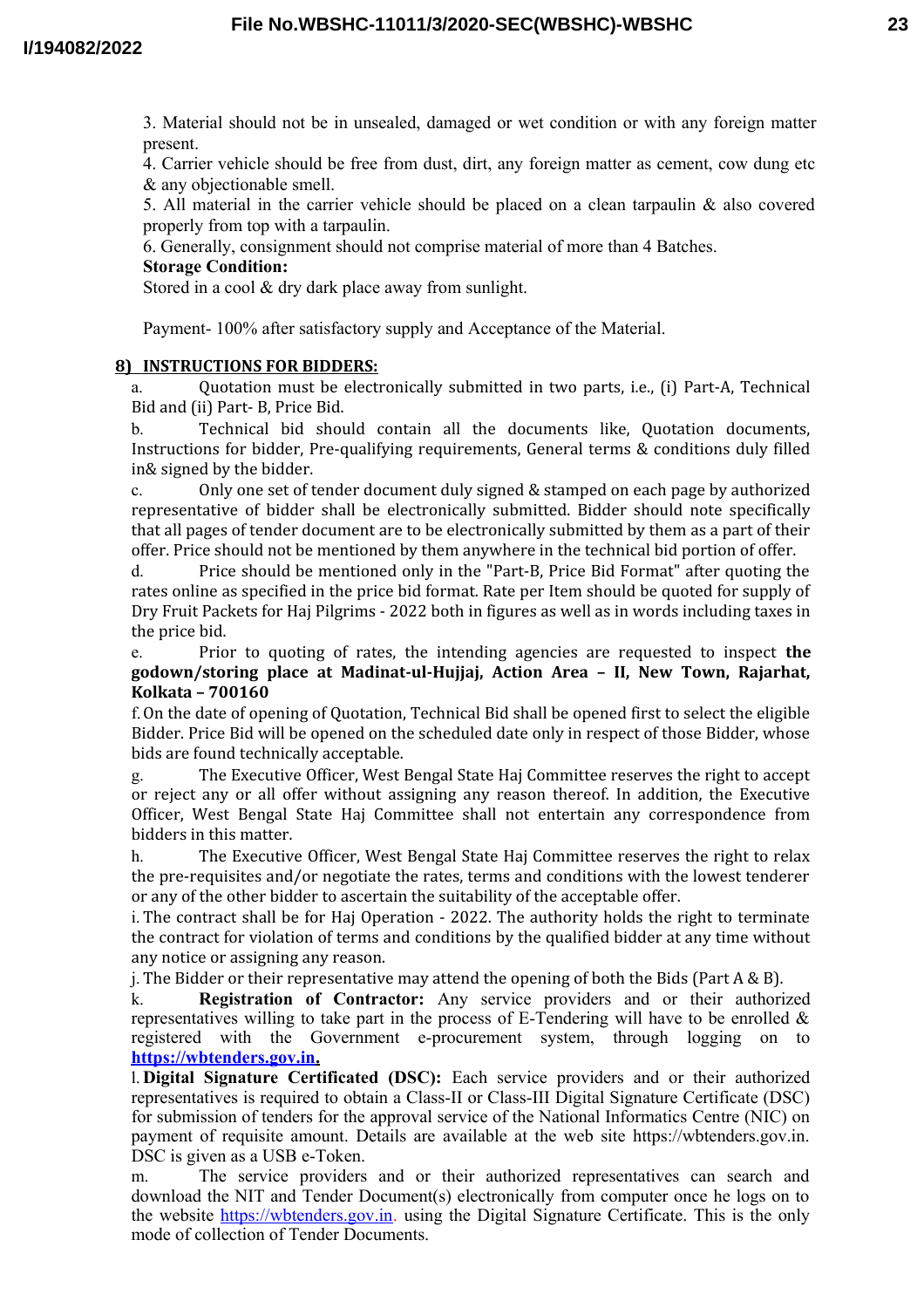3. Material should not be in unsealed, damaged or wet condition or with any foreign matter present.

4. Carrier vehicle should be free from dust, dirt, any foreign matter as cement, cow dung etc & any objectionable smell.

5. All material in the carrier vehicle should be placed on a clean tarpaulin & also covered properly from top with a tarpaulin.

6. Generally, consignment should not comprise material of more than 4 Batches.

### **Storage Condition:**

Stored in a cool & dry dark place away from sunlight.

Payment- 100% after satisfactory supply and Acceptance of the Material.

### **8) INSTRUCTIONS FOR BIDDERS:**

a. Quotation must be electronically submitted in two parts, i.e., (i) Part-A, Technical Bid and (ii) Part- B, Price Bid.

b. Technical bid should contain all the documents like, Quotation documents, Instructions for bidder, Pre-qualifying requirements, General terms & conditions duly filled in& signed by the bidder.

c. Only one set of tender document duly signed & stamped on each page by authorized representative of bidder shall be electronically submitted. Bidder should note specifically that all pages of tender document are to be electronically submitted by them as a part of their offer. Price should not be mentioned by them anywhere in the technical bid portion of offer.

d. Price should be mentioned only in the "Part-B, Price Bid Format" after quoting the rates online as specified in the price bid format. Rate per Item should be quoted for supply of Dry Fruit Packets for Haj Pilgrims - 2022 both in figures as well as in words including taxes in the price bid.

e. Prior to quoting of rates, the intending agencies are requested to inspect **the godown/storing place at Madinat-ul-Hujjaj, Action Area – II, New Town, Rajarhat, Kolkata – 700160**

f.On the date of opening of Quotation, Technical Bid shall be opened first to select the eligible Bidder. Price Bid will be opened on the scheduled date only in respect of those Bidder, whose bids are found technically acceptable.

g. The Executive Officer, West Bengal State Haj Committee reserves the right to accept or reject any or all offer without assigning any reason thereof. In addition, the Executive Officer, West Bengal State Haj Committee shall not entertain any correspondence from bidders in this matter.

h. The Executive Officer, West Bengal State Haj Committee reserves the right to relax the pre-requisites and/or negotiate the rates, terms and conditions with the lowest tenderer or any of the other bidder to ascertain the suitability of the acceptable offer.

i. The contract shall be for Haj Operation - 2022. The authority holds the right to terminate the contract for violation of terms and conditions by the qualified bidder at any time without any notice or assigning any reason.

i. The Bidder or their representative may attend the opening of both the Bids (Part  $A \& B$ ).

k. **Registration of Contractor:** Any service providers and or their authorized representatives willing to take part in the process of E-Tendering will have to be enrolled  $\&$ registered with the Government e-procurement system, through logging on to  **[https://wbtenders.gov.in.](https://wbtenders.gov.in/)**

l. **Digital Signature Certificated (DSC):** Each service providers and or their authorized representatives is required to obtain a Class-II or Class-III Digital Signature Certificate (DSC) for submission of tenders for the approval service of the National Informatics Centre (NIC) on payment of requisite amount. Details are available at the web site https://wbtenders.gov.in. DSC is given as a USB e-Token.

m. The service providers and or their authorized representatives can search and download the NIT and Tender Document(s) electronically from computer once he logs on to the website https://wbtenders.gov.in. using the Digital Signature Certificate. This is the only mode of collection of Tender Documents.